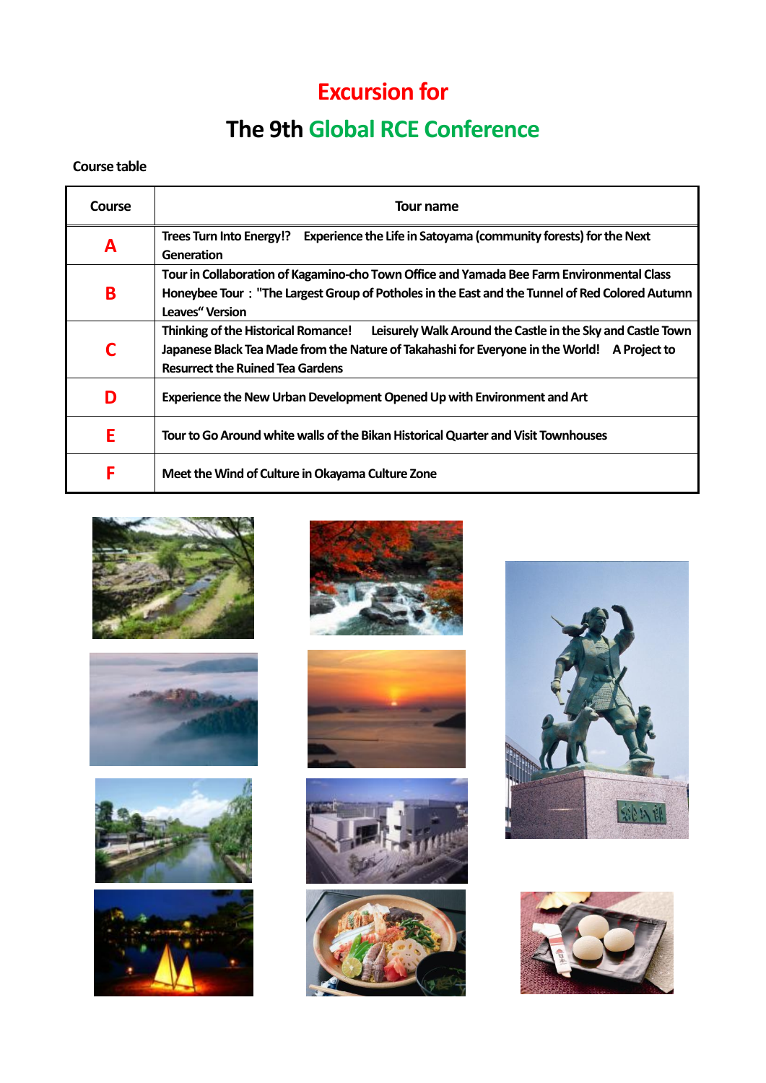## **Excursion for**

## **The 9th Global RCE Conference**

## **Course table**

| Course | Tour name                                                                                                                                                                                                                                            |
|--------|------------------------------------------------------------------------------------------------------------------------------------------------------------------------------------------------------------------------------------------------------|
| A      | Experience the Life in Satoyama (community forests) for the Next<br>Trees Turn Into Energy!?<br>Generation                                                                                                                                           |
| B      | Tour in Collaboration of Kagamino-cho Town Office and Yamada Bee Farm Environmental Class<br>Honeybee Tour: "The Largest Group of Potholes in the East and the Tunnel of Red Colored Autumn<br><b>Leaves</b> " Version                               |
| C      | <b>Thinking of the Historical Romance!</b><br>Leisurely Walk Around the Castle in the Sky and Castle Town<br>Japanese Black Tea Made from the Nature of Takahashi for Everyone in the World! A Project to<br><b>Resurrect the Ruined Tea Gardens</b> |
| D      | Experience the New Urban Development Opened Up with Environment and Art                                                                                                                                                                              |
| E      | Tour to Go Around white walls of the Bikan Historical Quarter and Visit Townhouses                                                                                                                                                                   |
| F      | Meet the Wind of Culture in Okayama Culture Zone                                                                                                                                                                                                     |



















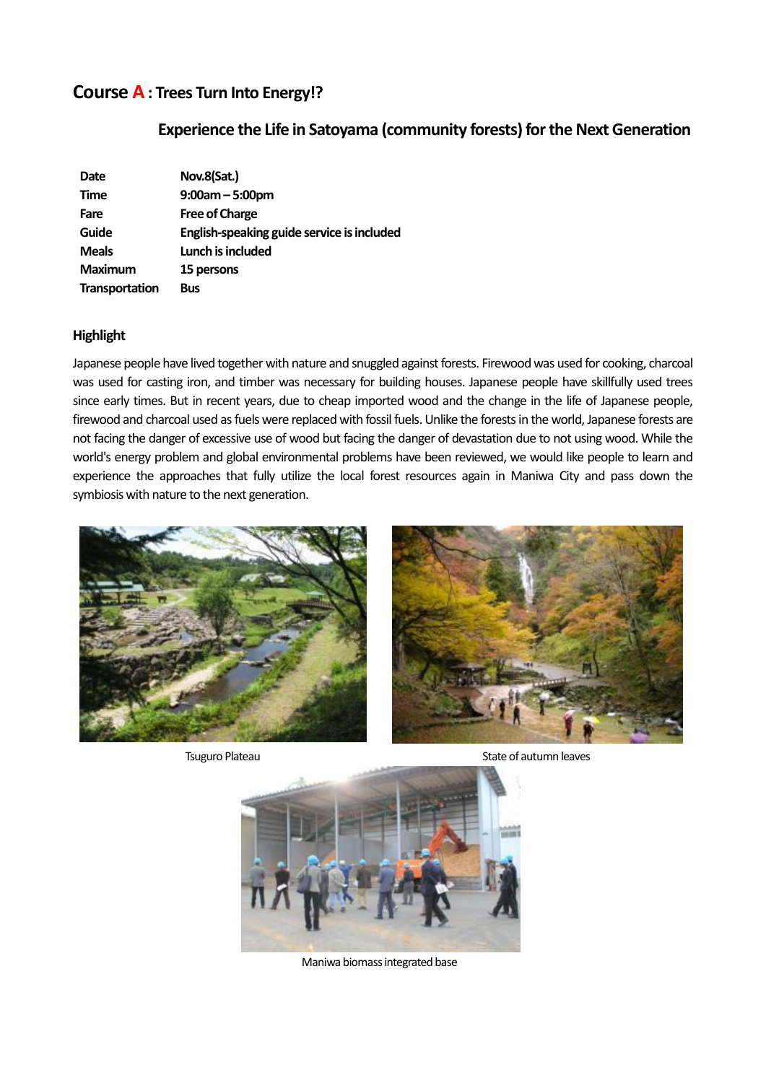## **Course A: Trees Turn Into Energy!?**

## **Experience the Life in Satoyama (community forests) for the Next Generation**

| Date           | Nov.8(Sat.)                                |
|----------------|--------------------------------------------|
| <b>Time</b>    | $9:00am - 5:00pm$                          |
| Fare           | <b>Free of Charge</b>                      |
| Guide          | English-speaking guide service is included |
| <b>Meals</b>   | Lunch is included                          |
| <b>Maximum</b> | 15 persons                                 |
| Transportation | <b>Bus</b>                                 |

#### **Highlight**

Japanese people have lived together with nature and snuggled against forests. Firewood was used for cooking, charcoal was used for casting iron, and timber was necessary for building houses. Japanese people have skillfully used trees since early times. But in recent years, due to cheap imported wood and the change in the life of Japanese people, firewood and charcoal used as fuels were replaced with fossil fuels. Unlike the forests in the world, Japanese forests are not facing the danger of excessive use of wood but facing the danger of devastation due to not using wood. While the world's energy problem and global environmental problems have been reviewed, we would like people to learn and experience the approaches that fully utilize the local forest resources again in Maniwa City and pass down the symbiosis with nature to the next generation.





Tsuguro Plateau **State of autumn leaves** State of autumn leaves



Maniwa biomass integrated base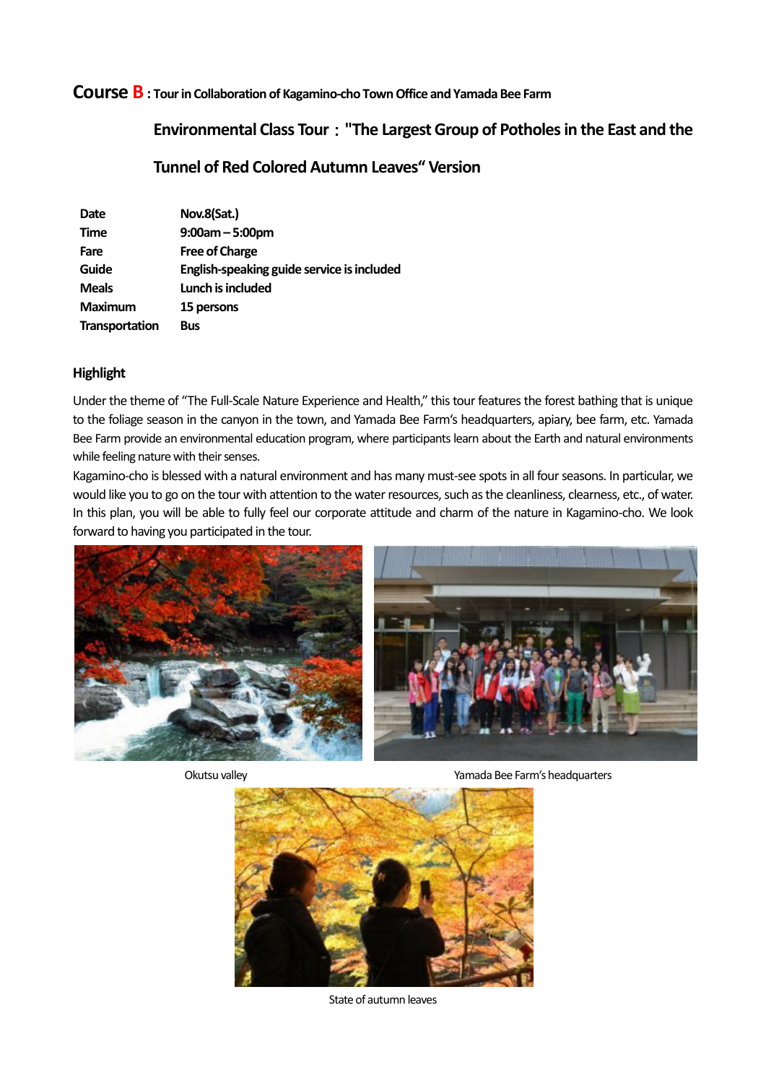#### **Course B : Tour in Collaboration of Kagamino-cho Town Office and Yamada Bee Farm**

## **Environmental Class Tour**:**"The Largest Group of Potholes in the East and the**

### **Tunnel of Red Colored Autumn Leaves" Version**

| <b>Date</b>    | Nov.8(Sat.)                                |
|----------------|--------------------------------------------|
| <b>Time</b>    | $9:00am - 5:00pm$                          |
| Fare           | <b>Free of Charge</b>                      |
| Guide          | English-speaking guide service is included |
| <b>Meals</b>   | Lunch is included                          |
| <b>Maximum</b> | 15 persons                                 |
| Transportation | <b>Bus</b>                                 |

#### **Highlight**

Under the theme of "The Full-Scale Nature Experience and Health," this tour features the forest bathing that is unique to the foliage season in the canyon in the town, and Yamada Bee Farm's headquarters, apiary, bee farm, etc. Yamada Bee Farm provide an environmental education program, where participants learn about the Earth and natural environments while feeling nature with their senses.

Kagamino-cho is blessed with a natural environment and has many must-see spots in all four seasons. In particular, we would like you to go on the tour with attention to the water resources, such as the cleanliness, clearness, etc., of water. In this plan, you will be able to fully feel our corporate attitude and charm of the nature in Kagamino-cho. We look forward to having you participated in the tour.





Okutsu valley Yamada Bee Farm's headquarters



State of autumn leaves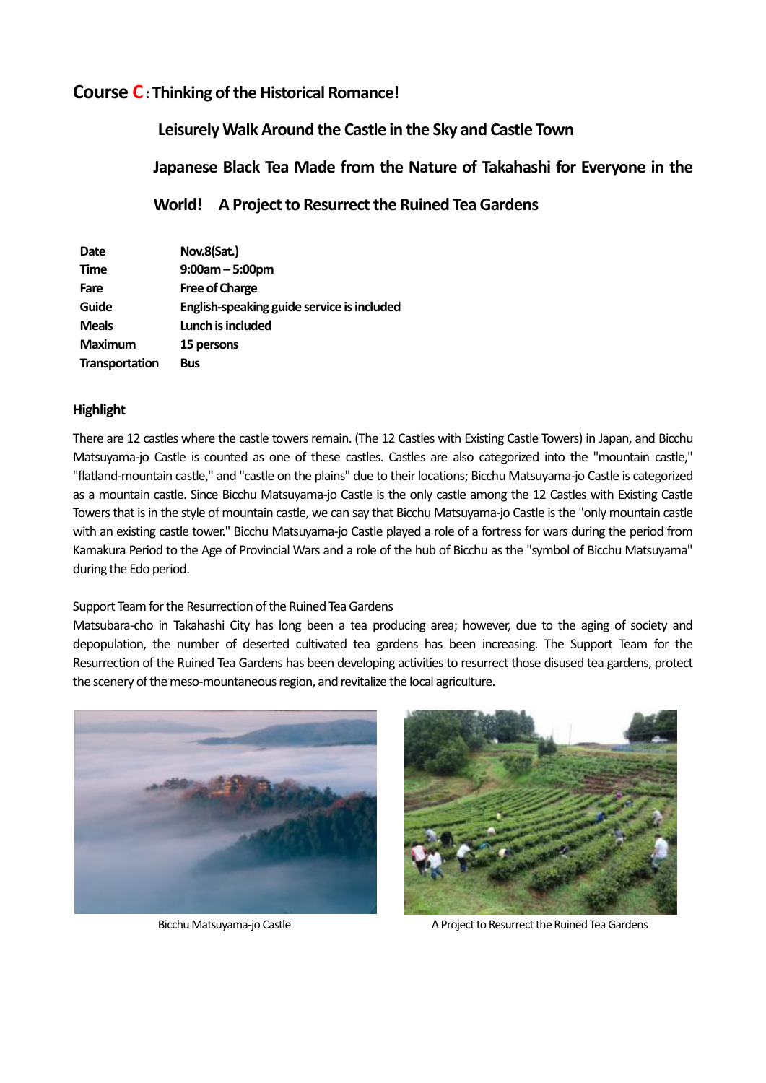## **Course C: Thinking of the Historical Romance!**

 **Leisurely Walk Around the Castle in the Sky and Castle Town Japanese Black Tea Made from the Nature of Takahashi for Everyone in the World! A Project to Resurrect the Ruined Tea Gardens** 

| Date           | Nov.8(Sat.)                                |
|----------------|--------------------------------------------|
| <b>Time</b>    | $9:00am - 5:00pm$                          |
| Fare           | <b>Free of Charge</b>                      |
| Guide          | English-speaking guide service is included |
| <b>Meals</b>   | Lunch is included                          |
| <b>Maximum</b> | 15 persons                                 |
| Transportation | <b>Bus</b>                                 |

#### **Highlight**

There are 12 castles where the castle towers remain. (The 12 Castles with Existing Castle Towers) in Japan, and Bicchu Matsuyama-jo Castle is counted as one of these castles. Castles are also categorized into the "mountain castle," "flatland-mountain castle," and "castle on the plains" due to their locations; Bicchu Matsuyama-jo Castle is categorized as a mountain castle. Since Bicchu Matsuyama-jo Castle is the only castle among the 12 Castles with Existing Castle Towers that is in the style of mountain castle, we can say that Bicchu Matsuyama-jo Castle is the "only mountain castle with an existing castle tower." Bicchu Matsuyama-jo Castle played a role of a fortress for wars during the period from Kamakura Period to the Age of Provincial Wars and a role of the hub of Bicchu as the "symbol of Bicchu Matsuyama" during the Edo period.

Support Team for the Resurrection of the Ruined Tea Gardens

Matsubara-cho in Takahashi City has long been a tea producing area; however, due to the aging of society and depopulation, the number of deserted cultivated tea gardens has been increasing. The Support Team for the Resurrection of the Ruined Tea Gardens has been developing activities to resurrect those disused tea gardens, protect the scenery of the meso-mountaneous region, and revitalize the local agriculture.





Bicchu Matsuvama-io Castle A Project to Resurrect the Ruined Tea Gardens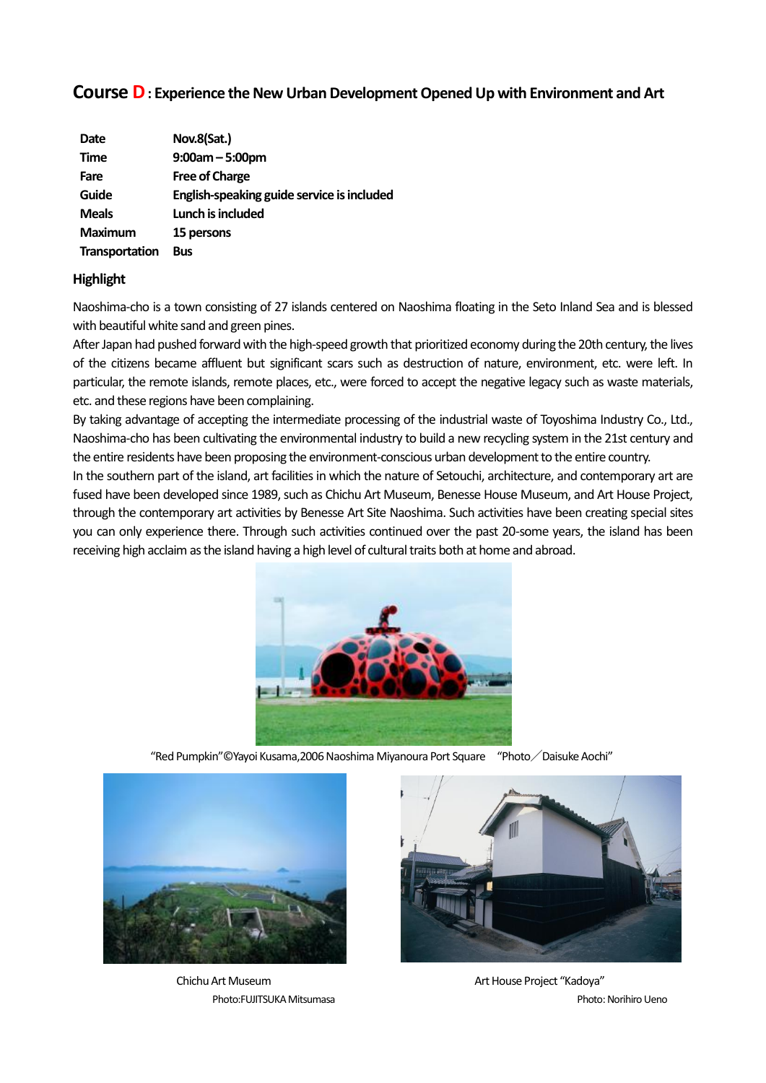## **Course D: Experience the New Urban Development Opened Up with Environment and Art**

| Date           | Nov.8(Sat.)                                |
|----------------|--------------------------------------------|
| <b>Time</b>    | $9:00am - 5:00pm$                          |
| Fare           | <b>Free of Charge</b>                      |
| Guide          | English-speaking guide service is included |
| <b>Meals</b>   | Lunch is included                          |
| Maximum        | 15 persons                                 |
| Transportation | <b>Bus</b>                                 |

#### **Highlight**

Naoshima-cho is a town consisting of 27 islands centered on Naoshima floating in the Seto Inland Sea and is blessed with beautiful white sand and green pines.

After Japan had pushed forward with the high-speed growth that prioritized economy during the 20th century, the lives of the citizens became affluent but significant scars such as destruction of nature, environment, etc. were left. In particular, the remote islands, remote places, etc., were forced to accept the negative legacy such as waste materials, etc. and these regions have been complaining.

By taking advantage of accepting the intermediate processing of the industrial waste of Toyoshima Industry Co., Ltd., Naoshima-cho has been cultivating the environmental industry to build a new recycling system in the 21st century and the entire residents have been proposing the environment-conscious urban development to the entire country.

In the southern part of the island, art facilities in which the nature of Setouchi, architecture, and contemporary art are fused have been developed since 1989, such as Chichu Art Museum, Benesse House Museum, and Art House Project, through the contemporary art activities by Benesse Art Site Naoshima. Such activities have been creating special sites you can only experience there. Through such activities continued over the past 20-some years, the island has been receiving high acclaim as the island having a high level of cultural traits both at home and abroad.



"Red Pumpkin"©Yayoi Kusama,2006 Naoshima Miyanoura Port Square "Photo/Daisuke Aochi"



Chichu Art Museum Photo:FUJITSUKA Mitsumasa



Art House Project "Kadoya" Photo: Norihiro Ueno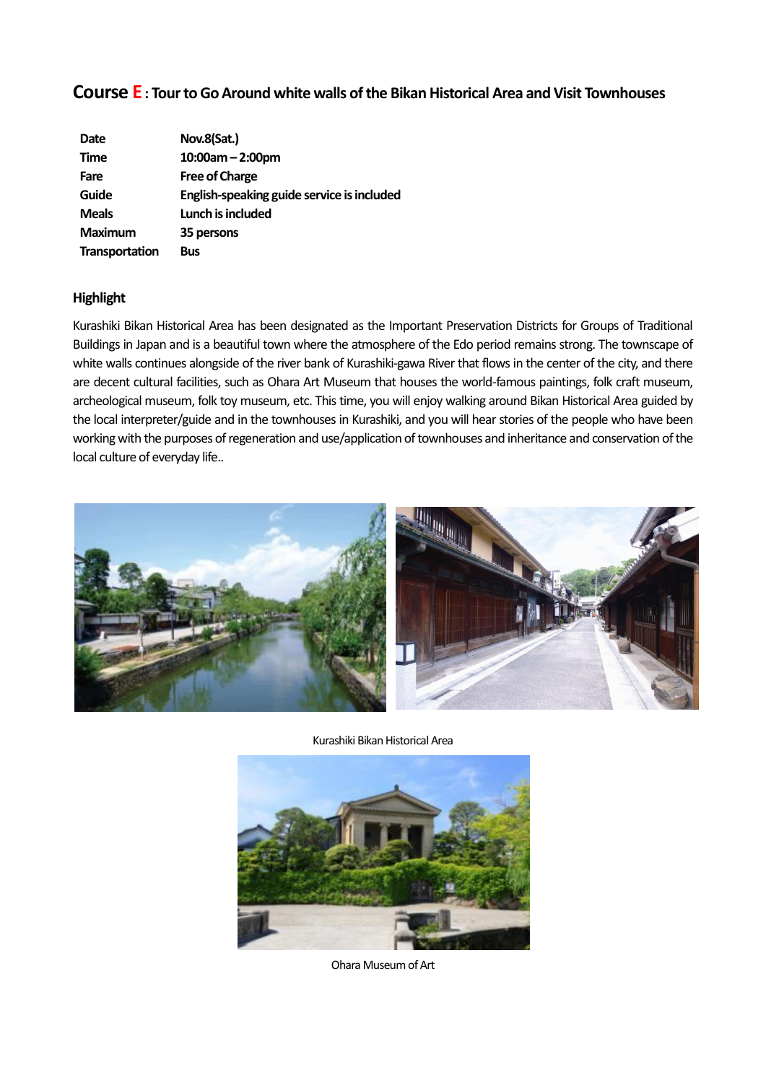## **Course E: Tour to Go Around white walls of the Bikan Historical Area and Visit Townhouses**

| Date                  | Nov.8(Sat.)                                |
|-----------------------|--------------------------------------------|
| <b>Time</b>           | $10:00$ am - 2:00pm                        |
| Fare                  | <b>Free of Charge</b>                      |
| Guide                 | English-speaking guide service is included |
| <b>Meals</b>          | Lunch is included                          |
| <b>Maximum</b>        | 35 persons                                 |
| <b>Transportation</b> | <b>Bus</b>                                 |

#### **Highlight**

Kurashiki Bikan Historical Area has been designated as the Important Preservation Districts for Groups of Traditional Buildings in Japan and is a beautiful town where the atmosphere of the Edo period remains strong. The townscape of white walls continues alongside of the river bank of Kurashiki-gawa River that flows in the center of the city, and there are decent cultural facilities, such as Ohara Art Museum that houses the world-famous paintings, folk craft museum, archeological museum, folk toy museum, etc. This time, you will enjoy walking around Bikan Historical Area guided by the local interpreter/guide and in the townhouses in Kurashiki, and you will hear stories of the people who have been working with the purposes of regeneration and use/application of townhouses and inheritance and conservation of the local culture of everyday life..



Kurashiki Bikan HistoricalArea



Ohara Museum of Art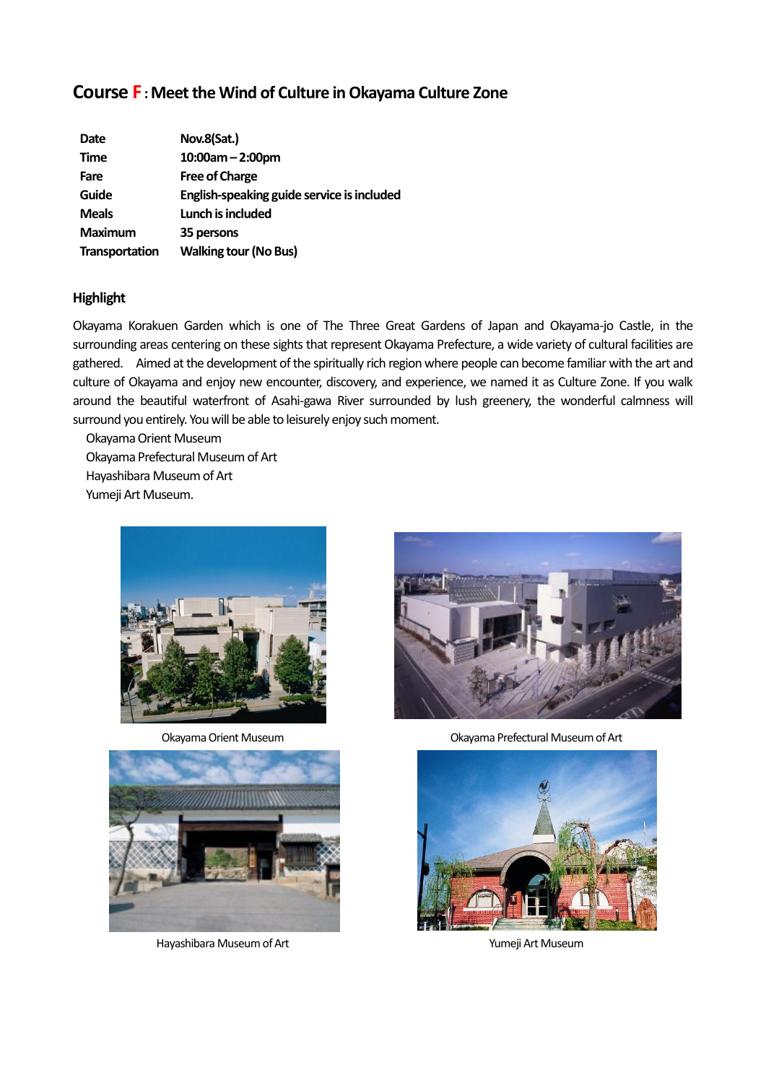## **Course F:Meet the Wind of Culture in Okayama Culture Zone**

| Nov.8(Sat.)                                |
|--------------------------------------------|
| $10:00$ am - 2:00pm                        |
| <b>Free of Charge</b>                      |
| English-speaking guide service is included |
| Lunch is included                          |
| 35 persons                                 |
| <b>Walking tour (No Bus)</b>               |
|                                            |

#### **Highlight**

Okayama Korakuen Garden which is one of The Three Great Gardens of Japan and Okayama-jo Castle, in the surrounding areas centering on these sights that represent Okayama Prefecture, a wide variety of cultural facilities are gathered. Aimed at the development of the spiritually rich region where people can become familiar with the art and culture of Okayama and enjoy new encounter, discovery, and experience, we named it as Culture Zone. If you walk around the beautiful waterfront of Asahi-gawa River surrounded by lush greenery, the wonderful calmness will surround you entirely. You will be able to leisurely enjoy such moment.

Okayama Orient Museum Okayama Prefectural Museum of Art Hayashibara Museum of Art Yumeji Art Museum.





Hayashibara Museum of Art **Yumey** Art Yumeji Art Museum



Okayama Orient Museum Okayama Prefectural Museum of Art

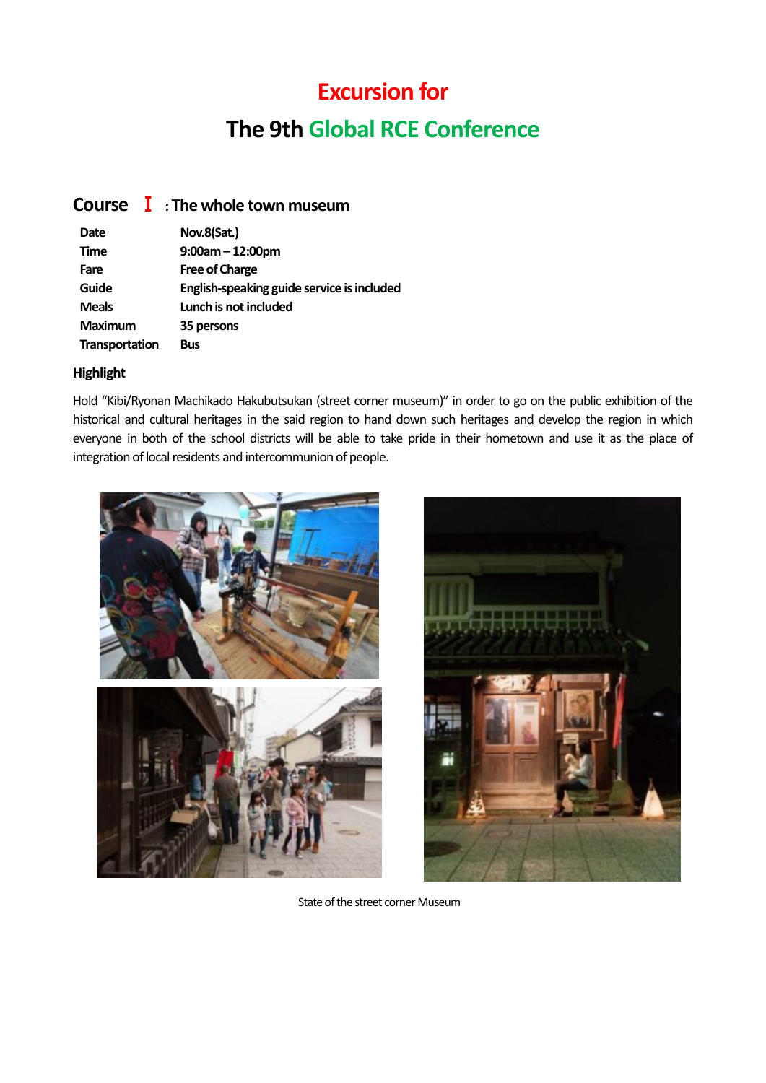# **Excursion for The 9th Global RCE Conference**

## **Course** Ⅰ **: The whole town museum**

| Date                  | Nov.8(Sat.)                                |
|-----------------------|--------------------------------------------|
| <b>Time</b>           | $9:00am - 12:00pm$                         |
| Fare                  | <b>Free of Charge</b>                      |
| Guide                 | English-speaking guide service is included |
| <b>Meals</b>          | Lunch is not included                      |
| <b>Maximum</b>        | 35 persons                                 |
| <b>Transportation</b> | Bus                                        |

### **Highlight**

Hold "Kibi/Ryonan Machikado Hakubutsukan (street corner museum)" in order to go on the public exhibition of the historical and cultural heritages in the said region to hand down such heritages and develop the region in which everyone in both of the school districts will be able to take pride in their hometown and use it as the place of integration of local residents and intercommunion of people.





State of the street corner Museum